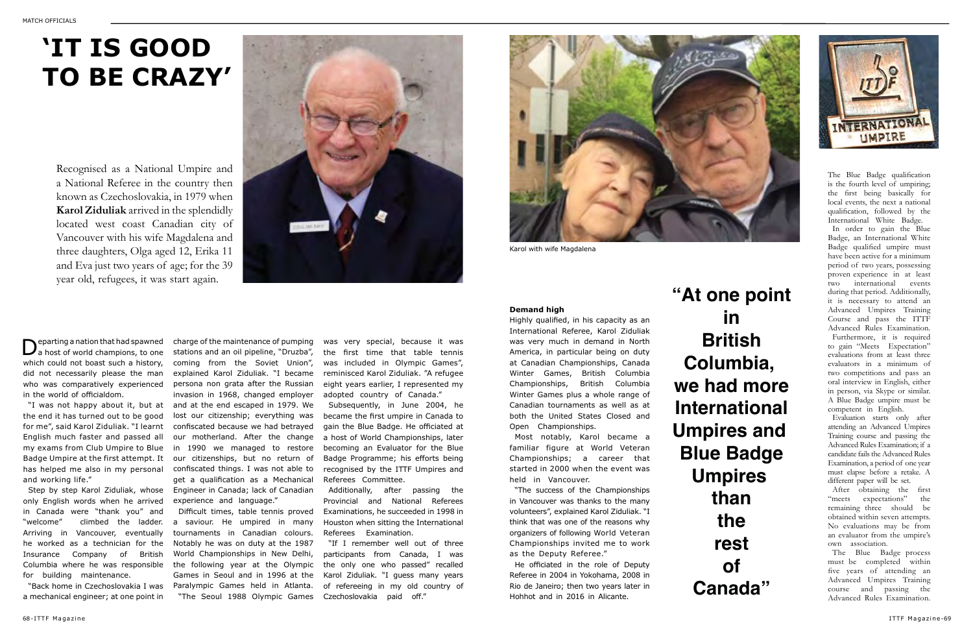Departing a nation that had spawned<br>
a host of world champions, to one which could not boast such a history, did not necessarily please the man who was comparatively experienced in the world of officialdom.

"I was not happy about it, but at the end it has turned out to be good for me", said Karol Ziduliak. "I learnt English much faster and passed all my exams from Club Umpire to Blue Badge Umpire at the first attempt. It has helped me also in my personal and working life."

Step by step Karol Ziduliak, whose only English words when he arrived in Canada were "thank you" and "welcome" climbed the ladder. Arriving in Vancouver, eventually he worked as a technician for the Insurance Company of British Columbia where he was responsible for building maintenance.

"Back home in Czechoslovakia I was a mechanical engineer; at one point in

# **'IT IS GOOD TO BE CRAZY'**

The Blue Badge qualification is the fourth level of umpiring; the first being basically for local events, the next a national qualification, followed by the International White Badge.

In order to gain the Blue Badge, an International White Badge qualified umpire must have been active for a minimum period of two years, possessing proven experience in at least two international events during that period. Additionally, it is necessary to attend an Advanced Umpires Training Course and pass the ITTF Advanced Rules Examination.

Furthermore, it is required to gain "Meets Expectation" evaluations from at least three evaluators in a minimum of two competitions and pass an oral interview in English, either in person, via Skype or similar. A Blue Badge umpire must be competent in English.

Evaluation starts only after attending an Advanced Umpires Training course and passing the Advanced Rules Examination; if a candidate fails the Advanced Rules Examination, a period of one year must elapse before a retake. A different paper will be set.

After obtaining the first "meets expectations" the remaining three should be obtained within seven attempts. No evaluations may be from an evaluator from the umpire's own association.

The Blue Badge process must be completed within five years of attending an Advanced Umpires Training course and passing the Advanced Rules Examination.

charge of the maintenance of pumping stations and an oil pipeline, "Druzba", coming from the Soviet Union", explained Karol Ziduliak. "I became persona non grata after the Russian invasion in 1968, changed employer and at the end escaped in 1979. We lost our citizenship; everything was confiscated because we had betrayed our motherland. After the change in 1990 we managed to restore our citizenships, but no return of confiscated things. I was not able to get a qualification as a Mechanical Engineer in Canada; lack of Canadian experience and language."

Difficult times, table tennis proved a saviour. He umpired in many tournaments in Canadian colours. Notably he was on duty at the 1987 World Championships in New Delhi, the following year at the Olympic Games in Seoul and in 1996 at the Paralympic Games held in Atlanta. "The Seoul 1988 Olympic Games

was very special, because it was the first time that table tennis was included in Olympic Games", reminisced Karol Ziduliak. "A refugee eight years earlier, I represented my adopted country of Canada."

Subsequently, in June 2004, he became the first umpire in Canada to gain the Blue Badge. He officiated at a host of World Championships, later becoming an Evaluator for the Blue Badge Programme; his efforts being recognised by the ITTF Umpires and Referees Committee.

Additionally, after passing the Provincial and National Referees Examinations, he succeeded in 1998 in Houston when sitting the International Referees Examination.

"If I remember well out of three participants from Canada, I was the only one who passed" recalled Karol Ziduliak. "I guess many years of refereeing in my old country of Czechoslovakia paid off."

**"At one point we had more** 



## **in British Columbia, International Umpires and Blue Badge Umpires than the rest of Canada"**

Recognised as a National Umpire and a National Referee in the country then known as Czechoslovakia, in 1979 when **Karol Ziduliak** arrived in the splendidly located west coast Canadian city of Vancouver with his wife Magdalena and three daughters, Olga aged 12, Erika 11 and Eva just two years of age; for the 39 year old, refugees, it was start again.



#### **Demand high**

Highly qualified, in his capacity as an International Referee, Karol Ziduliak was very much in demand in North America, in particular being on duty at Canadian Championships, Canada Winter Games, British Columbia Championships, British Columbia Winter Games plus a whole range of Canadian tournaments as well as at both the United States Closed and Open Championships.

Most notably, Karol became a familiar figure at World Veteran Championships; a career that started in 2000 when the event was held in Vancouver.

"The success of the Championships in Vancouver was thanks to the many volunteers", explained Karol Ziduliak. "I think that was one of the reasons why organizers of following World Veteran Championships invited me to work as the Deputy Referee."

He officiated in the role of Deputy Referee in 2004 in Yokohama, 2008 in Rio de Janeiro; then two years later in Hohhot and in 2016 in Alicante.



Karol with wife Magdalena